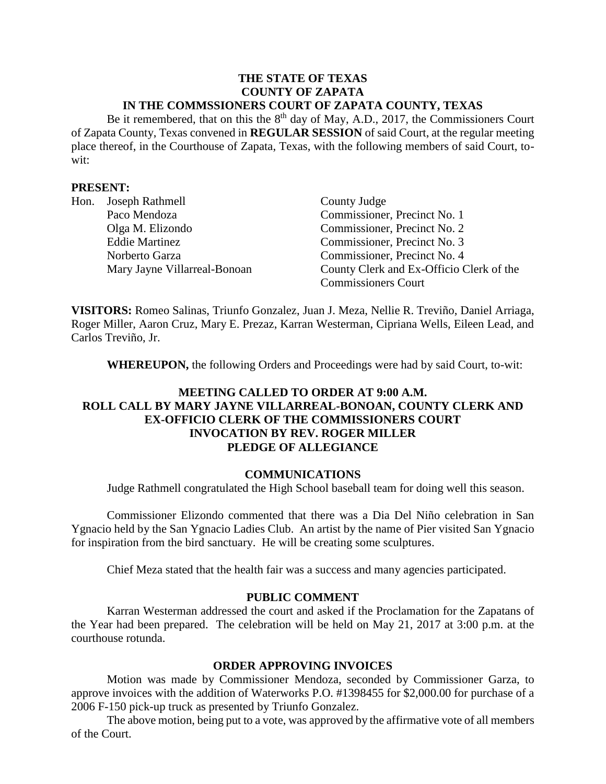#### **THE STATE OF TEXAS COUNTY OF ZAPATA IN THE COMMSSIONERS COURT OF ZAPATA COUNTY, TEXAS**

Be it remembered, that on this the  $8<sup>th</sup>$  day of May, A.D., 2017, the Commissioners Court of Zapata County, Texas convened in **REGULAR SESSION** of said Court, at the regular meeting place thereof, in the Courthouse of Zapata, Texas, with the following members of said Court, towit:

#### **PRESENT:**

| Hon. | Joseph Rathmell              | County Judge                             |
|------|------------------------------|------------------------------------------|
|      | Paco Mendoza                 | Commissioner, Precinct No. 1             |
|      | Olga M. Elizondo             | Commissioner, Precinct No. 2             |
|      | <b>Eddie Martinez</b>        | Commissioner, Precinct No. 3             |
|      | Norberto Garza               | Commissioner, Precinct No. 4             |
|      | Mary Jayne Villarreal-Bonoan | County Clerk and Ex-Officio Clerk of the |
|      |                              | <b>Commissioners Court</b>               |

**VISITORS:** Romeo Salinas, Triunfo Gonzalez, Juan J. Meza, Nellie R. Treviño, Daniel Arriaga, Roger Miller, Aaron Cruz, Mary E. Prezaz, Karran Westerman, Cipriana Wells, Eileen Lead, and Carlos Treviño, Jr.

**WHEREUPON,** the following Orders and Proceedings were had by said Court, to-wit:

# **MEETING CALLED TO ORDER AT 9:00 A.M. ROLL CALL BY MARY JAYNE VILLARREAL-BONOAN, COUNTY CLERK AND EX-OFFICIO CLERK OF THE COMMISSIONERS COURT INVOCATION BY REV. ROGER MILLER PLEDGE OF ALLEGIANCE**

#### **COMMUNICATIONS**

Judge Rathmell congratulated the High School baseball team for doing well this season.

Commissioner Elizondo commented that there was a Dia Del Niño celebration in San Ygnacio held by the San Ygnacio Ladies Club. An artist by the name of Pier visited San Ygnacio for inspiration from the bird sanctuary. He will be creating some sculptures.

Chief Meza stated that the health fair was a success and many agencies participated.

#### **PUBLIC COMMENT**

Karran Westerman addressed the court and asked if the Proclamation for the Zapatans of the Year had been prepared. The celebration will be held on May 21, 2017 at 3:00 p.m. at the courthouse rotunda.

#### **ORDER APPROVING INVOICES**

Motion was made by Commissioner Mendoza, seconded by Commissioner Garza, to approve invoices with the addition of Waterworks P.O. #1398455 for \$2,000.00 for purchase of a 2006 F-150 pick-up truck as presented by Triunfo Gonzalez.

The above motion, being put to a vote, was approved by the affirmative vote of all members of the Court.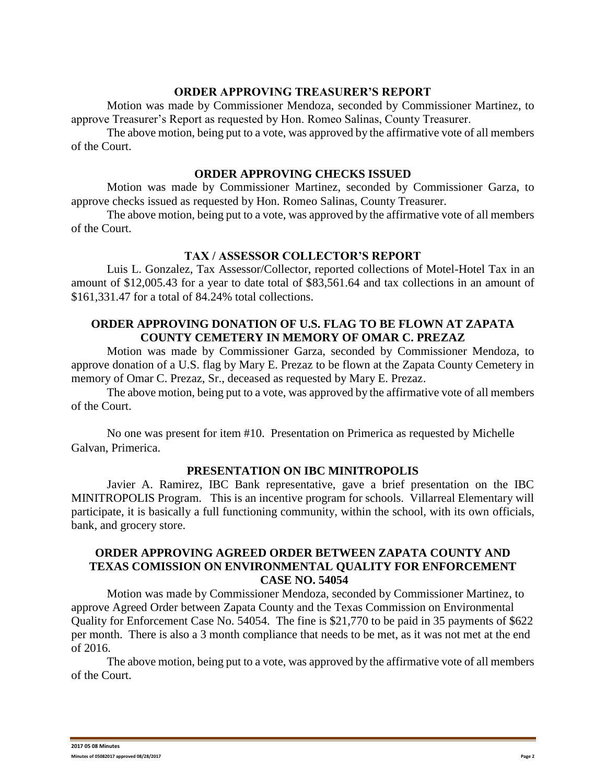#### **ORDER APPROVING TREASURER'S REPORT**

Motion was made by Commissioner Mendoza, seconded by Commissioner Martinez, to approve Treasurer's Report as requested by Hon. Romeo Salinas, County Treasurer.

The above motion, being put to a vote, was approved by the affirmative vote of all members of the Court.

#### **ORDER APPROVING CHECKS ISSUED**

Motion was made by Commissioner Martinez, seconded by Commissioner Garza, to approve checks issued as requested by Hon. Romeo Salinas, County Treasurer.

The above motion, being put to a vote, was approved by the affirmative vote of all members of the Court.

#### **TAX / ASSESSOR COLLECTOR'S REPORT**

Luis L. Gonzalez, Tax Assessor/Collector, reported collections of Motel-Hotel Tax in an amount of \$12,005.43 for a year to date total of \$83,561.64 and tax collections in an amount of \$161,331.47 for a total of 84.24% total collections.

## **ORDER APPROVING DONATION OF U.S. FLAG TO BE FLOWN AT ZAPATA COUNTY CEMETERY IN MEMORY OF OMAR C. PREZAZ**

Motion was made by Commissioner Garza, seconded by Commissioner Mendoza, to approve donation of a U.S. flag by Mary E. Prezaz to be flown at the Zapata County Cemetery in memory of Omar C. Prezaz, Sr., deceased as requested by Mary E. Prezaz.

The above motion, being put to a vote, was approved by the affirmative vote of all members of the Court.

No one was present for item #10. Presentation on Primerica as requested by Michelle Galvan, Primerica.

#### **PRESENTATION ON IBC MINITROPOLIS**

Javier A. Ramirez, IBC Bank representative, gave a brief presentation on the IBC MINITROPOLIS Program. This is an incentive program for schools. Villarreal Elementary will participate, it is basically a full functioning community, within the school, with its own officials, bank, and grocery store.

## **ORDER APPROVING AGREED ORDER BETWEEN ZAPATA COUNTY AND TEXAS COMISSION ON ENVIRONMENTAL QUALITY FOR ENFORCEMENT CASE NO. 54054**

Motion was made by Commissioner Mendoza, seconded by Commissioner Martinez, to approve Agreed Order between Zapata County and the Texas Commission on Environmental Quality for Enforcement Case No. 54054. The fine is \$21,770 to be paid in 35 payments of \$622 per month. There is also a 3 month compliance that needs to be met, as it was not met at the end of 2016.

The above motion, being put to a vote, was approved by the affirmative vote of all members of the Court.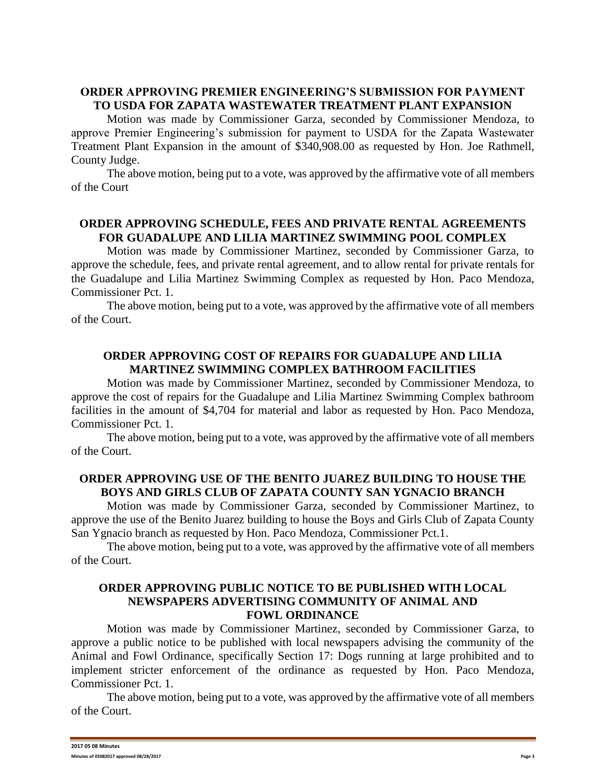# **ORDER APPROVING PREMIER ENGINEERING'S SUBMISSION FOR PAYMENT TO USDA FOR ZAPATA WASTEWATER TREATMENT PLANT EXPANSION**

Motion was made by Commissioner Garza, seconded by Commissioner Mendoza, to approve Premier Engineering's submission for payment to USDA for the Zapata Wastewater Treatment Plant Expansion in the amount of \$340,908.00 as requested by Hon. Joe Rathmell, County Judge.

The above motion, being put to a vote, was approved by the affirmative vote of all members of the Court

## **ORDER APPROVING SCHEDULE, FEES AND PRIVATE RENTAL AGREEMENTS FOR GUADALUPE AND LILIA MARTINEZ SWIMMING POOL COMPLEX**

Motion was made by Commissioner Martinez, seconded by Commissioner Garza, to approve the schedule, fees, and private rental agreement, and to allow rental for private rentals for the Guadalupe and Lilia Martinez Swimming Complex as requested by Hon. Paco Mendoza, Commissioner Pct. 1.

The above motion, being put to a vote, was approved by the affirmative vote of all members of the Court.

## **ORDER APPROVING COST OF REPAIRS FOR GUADALUPE AND LILIA MARTINEZ SWIMMING COMPLEX BATHROOM FACILITIES**

Motion was made by Commissioner Martinez, seconded by Commissioner Mendoza, to approve the cost of repairs for the Guadalupe and Lilia Martinez Swimming Complex bathroom facilities in the amount of \$4,704 for material and labor as requested by Hon. Paco Mendoza, Commissioner Pct. 1.

The above motion, being put to a vote, was approved by the affirmative vote of all members of the Court.

#### **ORDER APPROVING USE OF THE BENITO JUAREZ BUILDING TO HOUSE THE BOYS AND GIRLS CLUB OF ZAPATA COUNTY SAN YGNACIO BRANCH**

Motion was made by Commissioner Garza, seconded by Commissioner Martinez, to approve the use of the Benito Juarez building to house the Boys and Girls Club of Zapata County San Ygnacio branch as requested by Hon. Paco Mendoza, Commissioner Pct.1.

The above motion, being put to a vote, was approved by the affirmative vote of all members of the Court.

## **ORDER APPROVING PUBLIC NOTICE TO BE PUBLISHED WITH LOCAL NEWSPAPERS ADVERTISING COMMUNITY OF ANIMAL AND FOWL ORDINANCE**

Motion was made by Commissioner Martinez, seconded by Commissioner Garza, to approve a public notice to be published with local newspapers advising the community of the Animal and Fowl Ordinance, specifically Section 17: Dogs running at large prohibited and to implement stricter enforcement of the ordinance as requested by Hon. Paco Mendoza, Commissioner Pct. 1.

The above motion, being put to a vote, was approved by the affirmative vote of all members of the Court.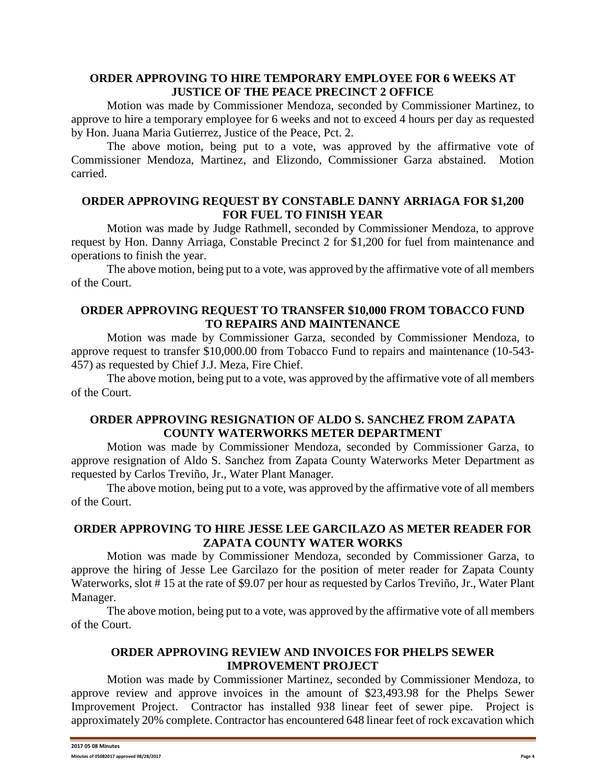## **ORDER APPROVING TO HIRE TEMPORARY EMPLOYEE FOR 6 WEEKS AT JUSTICE OF THE PEACE PRECINCT 2 OFFICE**

Motion was made by Commissioner Mendoza, seconded by Commissioner Martinez, to approve to hire a temporary employee for 6 weeks and not to exceed 4 hours per day as requested by Hon. Juana Maria Gutierrez, Justice of the Peace, Pct. 2.

The above motion, being put to a vote, was approved by the affirmative vote of Commissioner Mendoza, Martinez, and Elizondo, Commissioner Garza abstained. Motion carried.

## **ORDER APPROVING REQUEST BY CONSTABLE DANNY ARRIAGA FOR \$1,200 FOR FUEL TO FINISH YEAR**

Motion was made by Judge Rathmell, seconded by Commissioner Mendoza, to approve request by Hon. Danny Arriaga, Constable Precinct 2 for \$1,200 for fuel from maintenance and operations to finish the year.

The above motion, being put to a vote, was approved by the affirmative vote of all members of the Court.

# **ORDER APPROVING REQUEST TO TRANSFER \$10,000 FROM TOBACCO FUND TO REPAIRS AND MAINTENANCE**

Motion was made by Commissioner Garza, seconded by Commissioner Mendoza, to approve request to transfer \$10,000.00 from Tobacco Fund to repairs and maintenance (10-543- 457) as requested by Chief J.J. Meza, Fire Chief.

The above motion, being put to a vote, was approved by the affirmative vote of all members of the Court.

# **ORDER APPROVING RESIGNATION OF ALDO S. SANCHEZ FROM ZAPATA COUNTY WATERWORKS METER DEPARTMENT**

Motion was made by Commissioner Mendoza, seconded by Commissioner Garza, to approve resignation of Aldo S. Sanchez from Zapata County Waterworks Meter Department as requested by Carlos Treviño, Jr., Water Plant Manager.

The above motion, being put to a vote, was approved by the affirmative vote of all members of the Court.

#### **ORDER APPROVING TO HIRE JESSE LEE GARCILAZO AS METER READER FOR ZAPATA COUNTY WATER WORKS**

Motion was made by Commissioner Mendoza, seconded by Commissioner Garza, to approve the hiring of Jesse Lee Garcilazo for the position of meter reader for Zapata County Waterworks, slot #15 at the rate of \$9.07 per hour as requested by Carlos Treviño, Jr., Water Plant Manager.

The above motion, being put to a vote, was approved by the affirmative vote of all members of the Court.

# **ORDER APPROVING REVIEW AND INVOICES FOR PHELPS SEWER IMPROVEMENT PROJECT**

Motion was made by Commissioner Martinez, seconded by Commissioner Mendoza, to approve review and approve invoices in the amount of \$23,493.98 for the Phelps Sewer Improvement Project. Contractor has installed 938 linear feet of sewer pipe. Project is approximately 20% complete. Contractor has encountered 648 linear feet of rock excavation which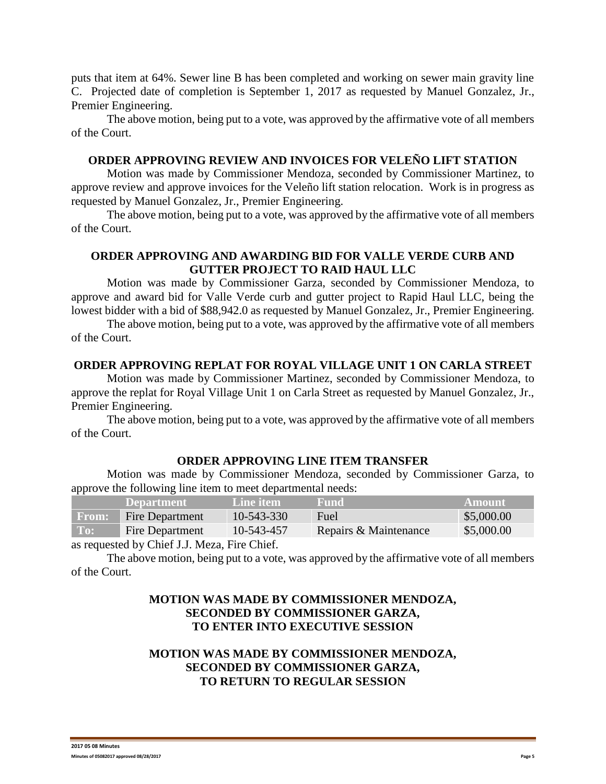puts that item at 64%. Sewer line B has been completed and working on sewer main gravity line C. Projected date of completion is September 1, 2017 as requested by Manuel Gonzalez, Jr., Premier Engineering.

The above motion, being put to a vote, was approved by the affirmative vote of all members of the Court.

# **ORDER APPROVING REVIEW AND INVOICES FOR VELEÑO LIFT STATION**

Motion was made by Commissioner Mendoza, seconded by Commissioner Martinez, to approve review and approve invoices for the Veleño lift station relocation. Work is in progress as requested by Manuel Gonzalez, Jr., Premier Engineering.

The above motion, being put to a vote, was approved by the affirmative vote of all members of the Court.

# **ORDER APPROVING AND AWARDING BID FOR VALLE VERDE CURB AND GUTTER PROJECT TO RAID HAUL LLC**

Motion was made by Commissioner Garza, seconded by Commissioner Mendoza, to approve and award bid for Valle Verde curb and gutter project to Rapid Haul LLC, being the lowest bidder with a bid of \$88,942.0 as requested by Manuel Gonzalez, Jr., Premier Engineering.

The above motion, being put to a vote, was approved by the affirmative vote of all members of the Court.

#### **ORDER APPROVING REPLAT FOR ROYAL VILLAGE UNIT 1 ON CARLA STREET**

Motion was made by Commissioner Martinez, seconded by Commissioner Mendoza, to approve the replat for Royal Village Unit 1 on Carla Street as requested by Manuel Gonzalez, Jr., Premier Engineering.

The above motion, being put to a vote, was approved by the affirmative vote of all members of the Court.

#### **ORDER APPROVING LINE ITEM TRANSFER**

Motion was made by Commissioner Mendoza, seconded by Commissioner Garza, to approve the following line item to meet departmental needs:

|              | <b>Department</b>      | Line item            | Fund                  | <b>Amount</b> |
|--------------|------------------------|----------------------|-----------------------|---------------|
| <b>From:</b> | <b>Fire Department</b> | 10-543-330           | <b>Fuel</b>           | \$5,000.00    |
| To:          | Fire Department        | 10-543-457           | Repairs & Maintenance | \$5,000.00    |
|              |                        | $\sim$ $\sim$ $\sim$ |                       |               |

as requested by Chief J.J. Meza, Fire Chief.

The above motion, being put to a vote, was approved by the affirmative vote of all members of the Court.

# **MOTION WAS MADE BY COMMISSIONER MENDOZA, SECONDED BY COMMISSIONER GARZA, TO ENTER INTO EXECUTIVE SESSION**

# **MOTION WAS MADE BY COMMISSIONER MENDOZA, SECONDED BY COMMISSIONER GARZA, TO RETURN TO REGULAR SESSION**